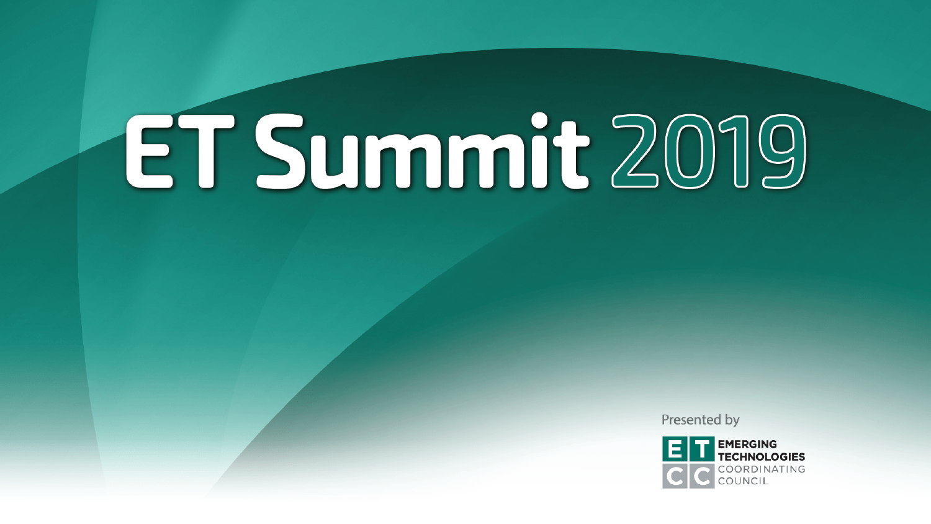Presented by

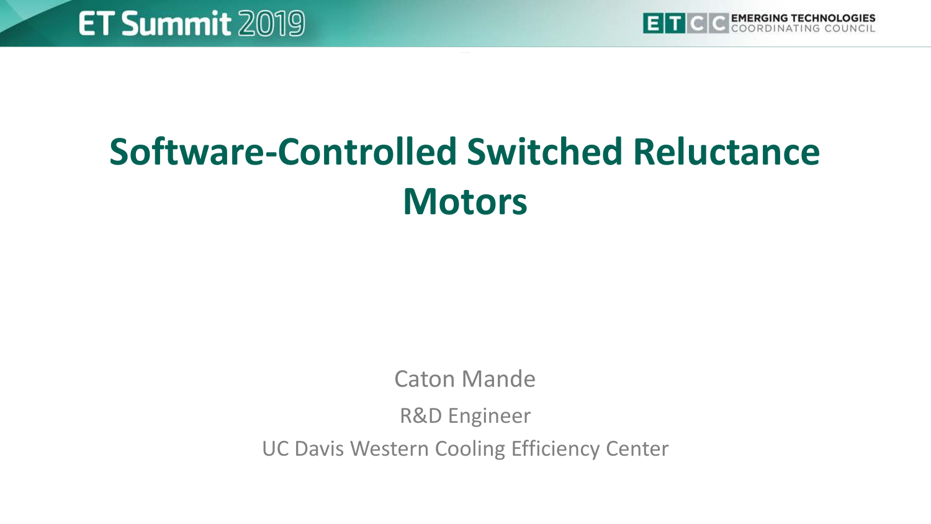

# **Software-Controlled Switched Reluctance Motors**

Caton Mande

R&D Engineer

UC Davis Western Cooling Efficiency Center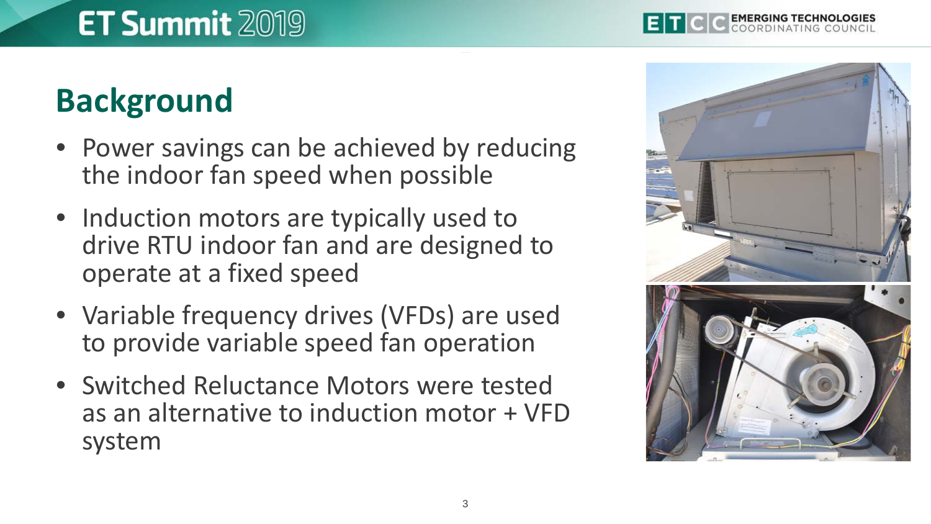## **Background**

- Power savings can be achieved by reducing the indoor fan speed when possible
- Induction motors are typically used to drive RTU indoor fan and are designed to operate at a fixed speed
- Variable frequency drives (VFDs) are used to provide variable speed fan operation
- Switched Reluctance Motors were tested as an alternative to induction motor + VFD system

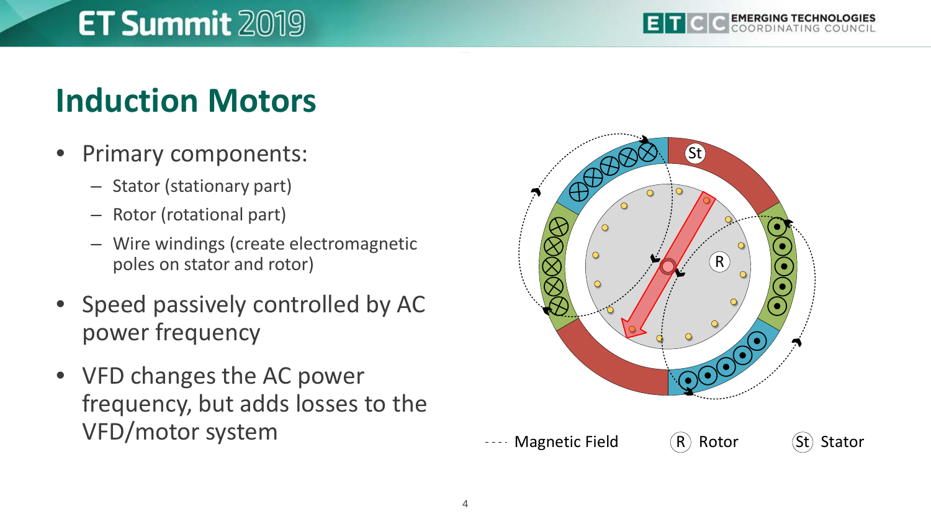## **Induction Motors**

- Primary components:
	- Stator (stationary part)
	- Rotor (rotational part)
	- Wire windings (create electromagnetic poles on stator and rotor)
- Speed passively controlled by AC power frequency
- VFD changes the AC power frequency, but adds losses to the VFD/motor system

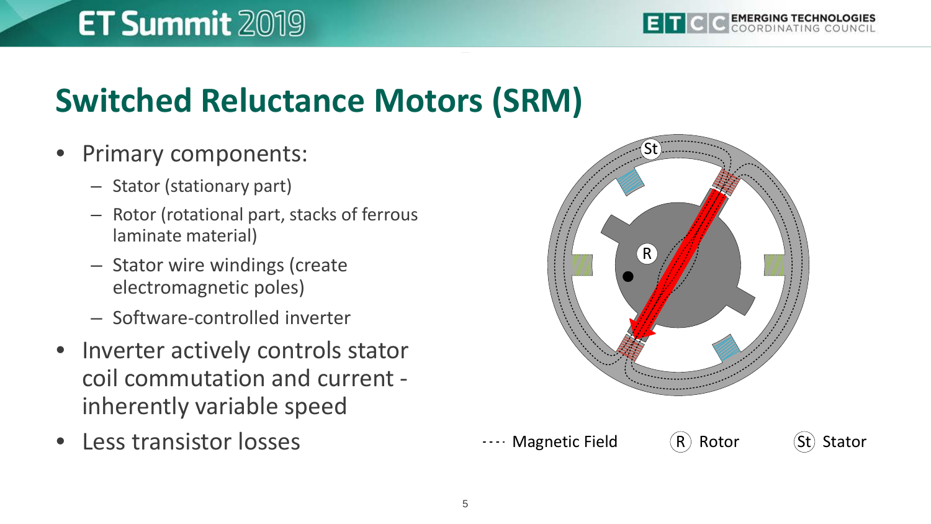#### **Switched Reluctance Motors (SRM)**

#### • Primary components:

- Stator (stationary part)
- Rotor (rotational part, stacks of ferrous laminate material)
- Stator wire windings (create electromagnetic poles)
- Software-controlled inverter
- Inverter actively controls stator coil commutation and current inherently variable speed
- Less transistor losses

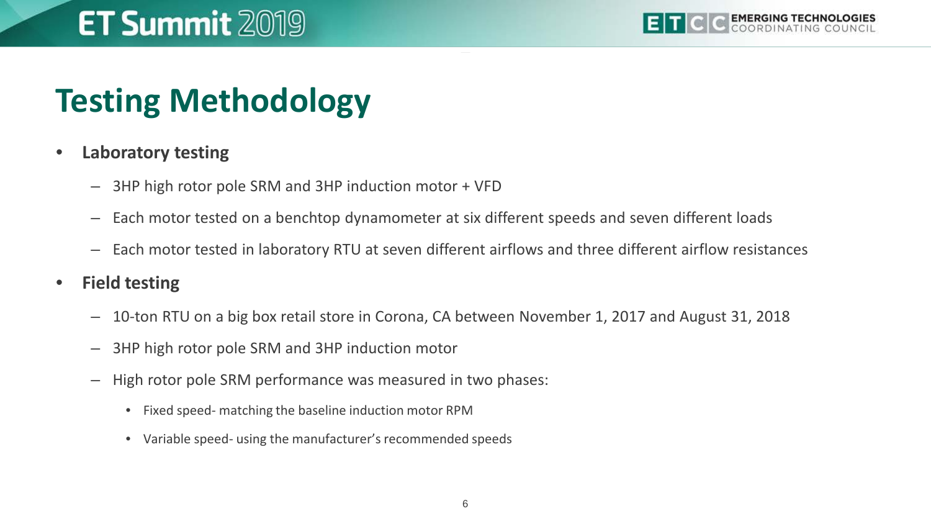# **Testing Methodology**

#### • **Laboratory testing**

- 3HP high rotor pole SRM and 3HP induction motor + VFD
- Each motor tested on a benchtop dynamometer at six different speeds and seven different loads
- Each motor tested in laboratory RTU at seven different airflows and three different airflow resistances
- **Field testing**
	- 10-ton RTU on a big box retail store in Corona, CA between November 1, 2017 and August 31, 2018
	- 3HP high rotor pole SRM and 3HP induction motor
	- High rotor pole SRM performance was measured in two phases:
		- Fixed speed- matching the baseline induction motor RPM
		- Variable speed- using the manufacturer's recommended speeds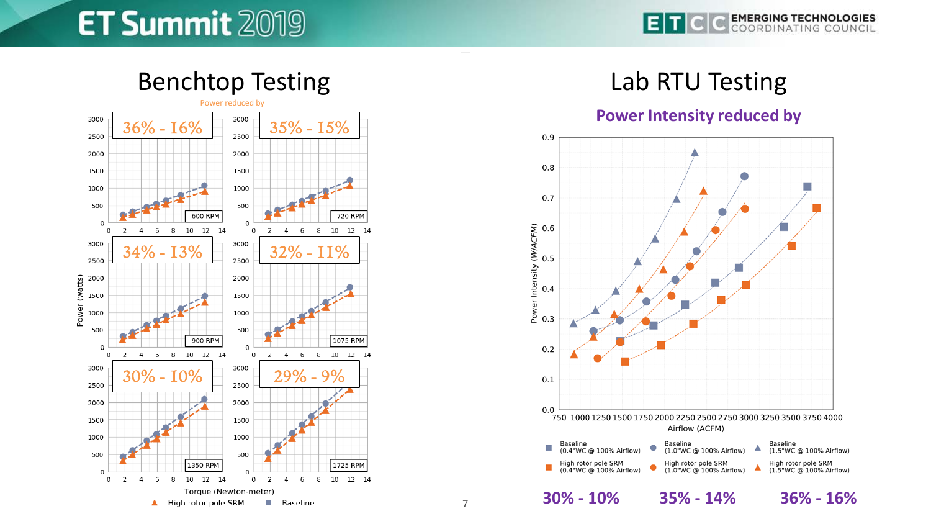**EMERGING TECHNOLOGIES** (el



#### Lab RTU Testing





7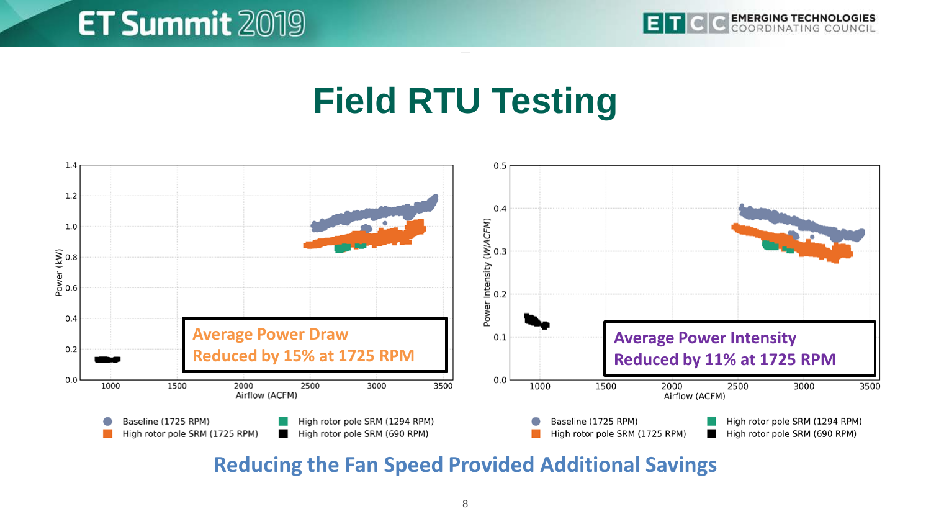## **Field RTU Testing**



**Reducing the Fan Speed Provided Additional Savings**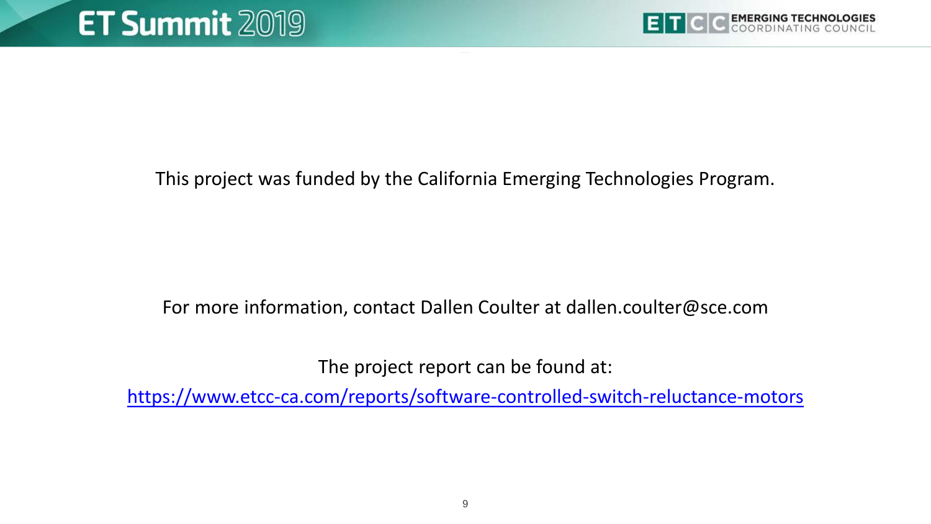

This project was funded by the California Emerging Technologies Program.

#### For more information, contact Dallen Coulter at dallen.coulter@sce.com

The project report can be found at:

<https://www.etcc-ca.com/reports/software-controlled-switch-reluctance-motors>